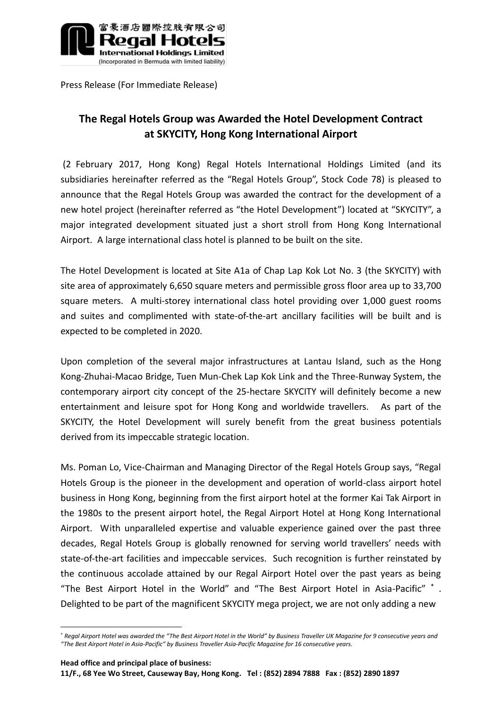

Press Release (For Immediate Release)

## **The Regal Hotels Group was Awarded the Hotel Development Contract at SKYCITY, Hong Kong International Airport**

(2 February 2017, Hong Kong) Regal Hotels International Holdings Limited (and its subsidiaries hereinafter referred as the "Regal Hotels Group", Stock Code 78) is pleased to announce that the Regal Hotels Group was awarded the contract for the development of a new hotel project (hereinafter referred as "the Hotel Development") located at "SKYCITY", a major integrated development situated just a short stroll from Hong Kong International Airport. A large international class hotel is planned to be built on the site.

The Hotel Development is located at Site A1a of Chap Lap Kok Lot No. 3 (the SKYCITY) with site area of approximately 6,650 square meters and permissible gross floor area up to 33,700 square meters. A multi-storey international class hotel providing over 1,000 guest rooms and suites and complimented with state-of-the-art ancillary facilities will be built and is expected to be completed in 2020.

Upon completion of the several major infrastructures at Lantau Island, such as the Hong Kong-Zhuhai-Macao Bridge, Tuen Mun-Chek Lap Kok Link and the Three-Runway System, the contemporary airport city concept of the 25-hectare SKYCITY will definitely become a new entertainment and leisure spot for Hong Kong and worldwide travellers. As part of the SKYCITY, the Hotel Development will surely benefit from the great business potentials derived from its impeccable strategic location.

Ms. Poman Lo, Vice-Chairman and Managing Director of the Regal Hotels Group says, "Regal Hotels Group is the pioneer in the development and operation of world-class airport hotel business in Hong Kong, beginning from the first airport hotel at the former Kai Tak Airport in the 1980s to the present airport hotel, the Regal Airport Hotel at Hong Kong International Airport. With unparalleled expertise and valuable experience gained over the past three decades, Regal Hotels Group is globally renowned for serving world travellers' needs with state-of-the-art facilities and impeccable services. Such recognition is further reinstated by the continuous accolade attained by our Regal Airport Hotel over the past years as being "The Best Airport Hotel in the World" and "The Best Airport Hotel in Asia-Pacific" \* . Delighted to be part of the magnificent SKYCITY mega project, we are not only adding a new

**Head office and principal place of business:**

<u>.</u>

<sup>\*</sup> *Regal Airport Hotel was awarded the "The Best Airport Hotel in the World" by Business Traveller UK Magazine for 9 consecutive years and "The Best Airport Hotel in Asia-Pacific" by Business Traveller Asia-Pacific Magazine for 16 consecutive years.*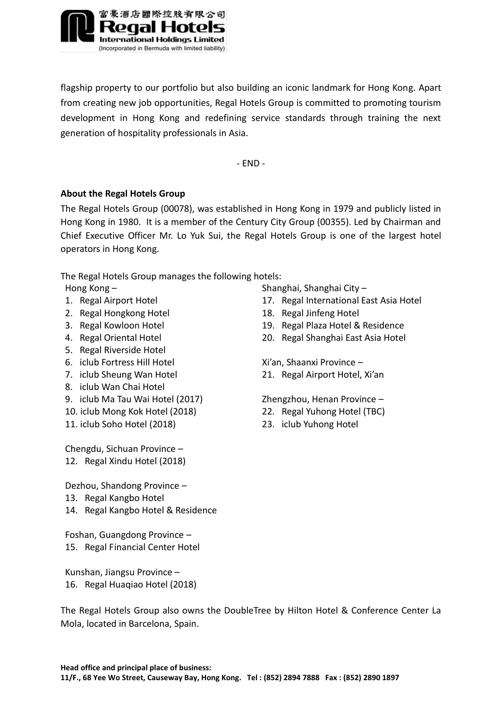

flagship property to our portfolio but also building an iconic landmark for Hong Kong. Apart from creating new job opportunities, Regal Hotels Group is committed to promoting tourism development in Hong Kong and redefining service standards through training the next generation of hospitality professionals in Asia.

- END -

## **About the Regal Hotels Group**

The Regal Hotels Group (00078), was established in Hong Kong in 1979 and publicly listed in Hong Kong in 1980. It is a member of the Century City Group (00355). Led by Chairman and Chief Executive Officer Mr. Lo Yuk Sui, the Regal Hotels Group is one of the largest hotel operators in Hong Kong.

The Regal Hotels Group manages the following hotels:

- 
- 2. Regal Hongkong Hotel 18. Regal Jinfeng Hotel
- 
- 
- 5. Regal Riverside Hotel
- 6. iclub Fortress Hill Hotel
- 7. iclub Sheung Wan Hotel
- 8. iclub Wan Chai Hotel
- 9. iclub Ma Tau Wai Hotel (2017)
- 10. iclub Mong Kok Hotel (2018)
- 11. iclub Soho Hotel (2018) 23. iclub Yuhong Hotel

Chengdu, Sichuan Province – 12. Regal Xindu Hotel (2018)

Dezhou, Shandong Province –

- 13. Regal Kangbo Hotel
- 14. Regal Kangbo Hotel & Residence
- Foshan, Guangdong Province 15. Regal Financial Center Hotel

Kunshan, Jiangsu Province – 16. Regal Huaqiao Hotel (2018)

Hong Kong – Shanghai, Shanghai City –

- 1. Regal Airport Hotel 17. Regal International East Asia Hotel
	-
- 3. Regal Kowloon Hotel 19. Regal Plaza Hotel & Residence
- 4. Regal Oriental Hotel 20. Regal Shanghai East Asia Hotel

Xi'an, Shaanxi Province –

21. Regal Airport Hotel, Xi'an

Zhengzhou, Henan Province –

- 22. Regal Yuhong Hotel (TBC)
- 

The Regal Hotels Group also owns the DoubleTree by Hilton Hotel & Conference Center La Mola, located in Barcelona, Spain.